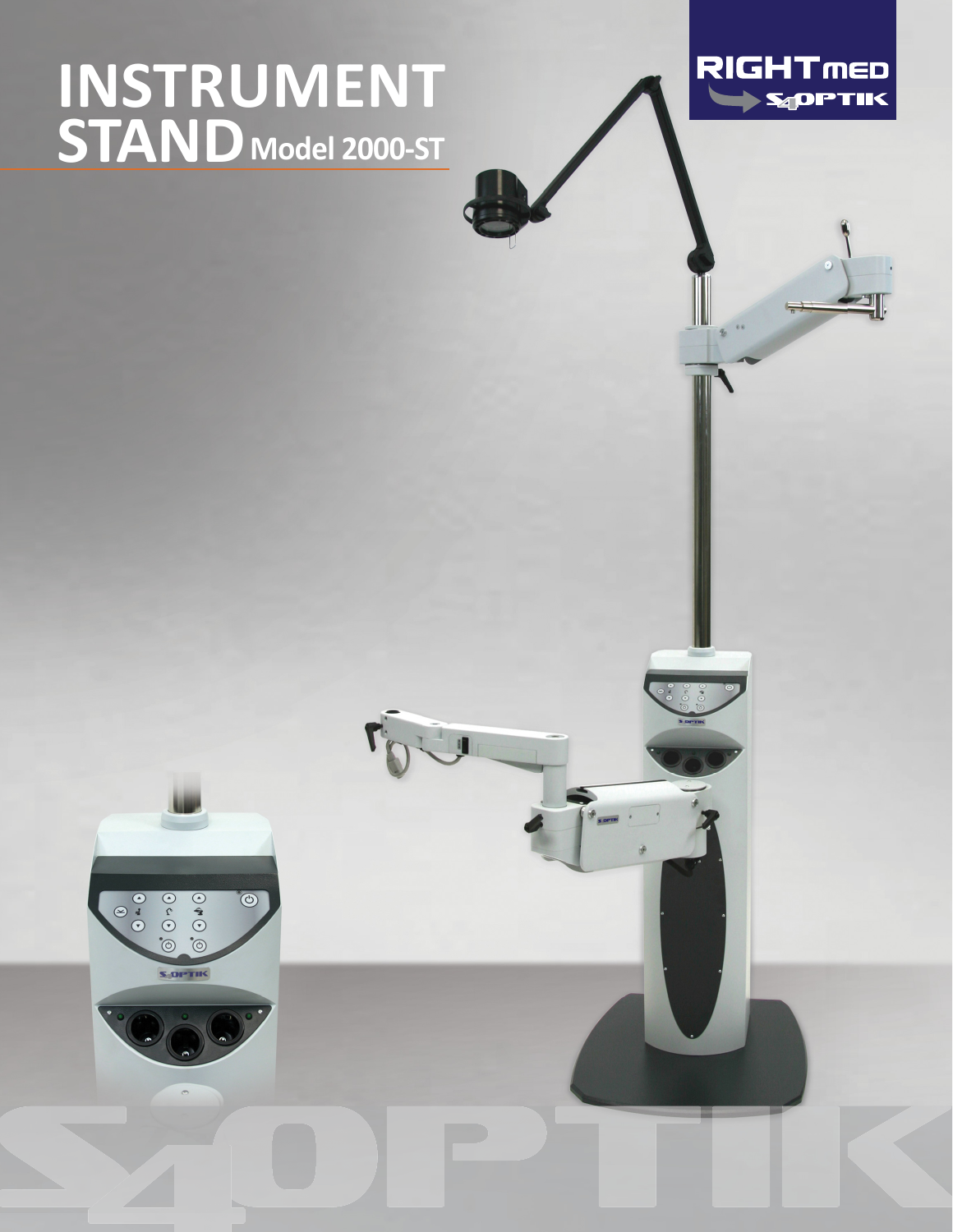# **INSTRUMENT STANDModel 2000-ST**





U

 $rac{1}{\sqrt{2}}$